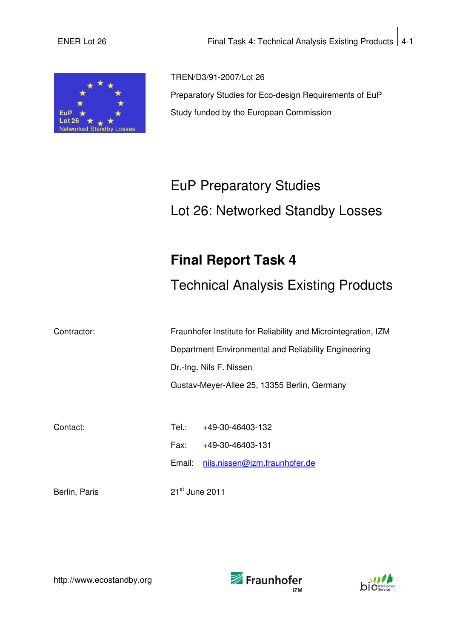

TREN/D3/91-2007/Lot 26 Preparatory Studies for Eco-design Requirements of EuP Study funded by the European Commission

# EuP Preparatory Studies Lot 26: Networked Standby Losses

## **Final Report Task 4**

Technical Analysis Existing Products

Contractor: Fraunhofer Institute for Reliability and Microintegration, IZM Department Environmental and Reliability Engineering Dr.-Ing. Nils F. Nissen Gustav-Meyer-Allee 25, 13355 Berlin, Germany

Contact: Tel.: +49-30-46403-132 Fax: +49-30-46403-131 Email: nils.nissen@izm.fraunhofer.de

Berlin, Paris 21<sup>st</sup> June 2011





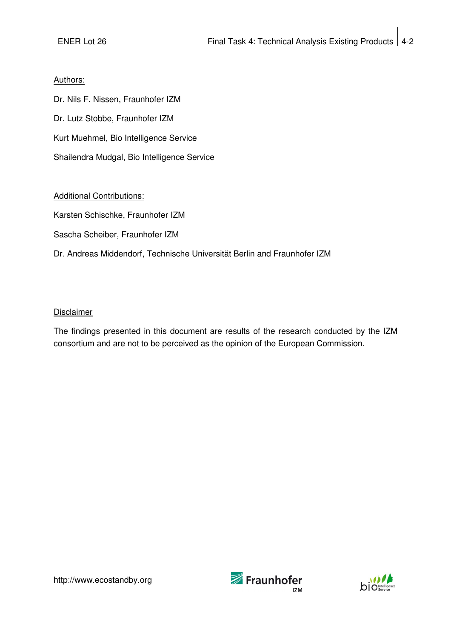#### Authors:

Dr. Nils F. Nissen, Fraunhofer IZM Dr. Lutz Stobbe, Fraunhofer IZM Kurt Muehmel, Bio Intelligence Service Shailendra Mudgal, Bio Intelligence Service

#### Additional Contributions:

Karsten Schischke, Fraunhofer IZM

Sascha Scheiber, Fraunhofer IZM

Dr. Andreas Middendorf, Technische Universität Berlin and Fraunhofer IZM

#### Disclaimer

The findings presented in this document are results of the research conducted by the IZM consortium and are not to be perceived as the opinion of the European Commission.



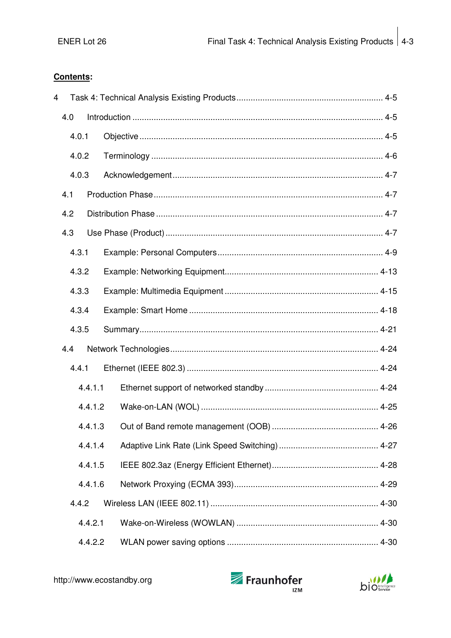#### Contents:

| 4 |       |         |  |
|---|-------|---------|--|
|   | 4.0   |         |  |
|   | 4.0.1 |         |  |
|   | 4.0.2 |         |  |
|   | 4.0.3 |         |  |
|   | 4.1   |         |  |
|   | 4.2   |         |  |
|   | 4.3   |         |  |
|   | 4.3.1 |         |  |
|   | 4.3.2 |         |  |
|   | 4.3.3 |         |  |
|   | 4.3.4 |         |  |
|   | 4.3.5 |         |  |
|   | 4.4   |         |  |
|   | 4.4.1 |         |  |
|   |       | 4.4.1.1 |  |
|   |       | 4.4.1.2 |  |
|   |       | 4.4.1.3 |  |
|   |       | 4.4.1.4 |  |
|   |       | 4.4.1.5 |  |
|   |       | 4.4.1.6 |  |
|   | 4.4.2 |         |  |
|   |       | 4.4.2.1 |  |
|   |       | 4.4.2.2 |  |



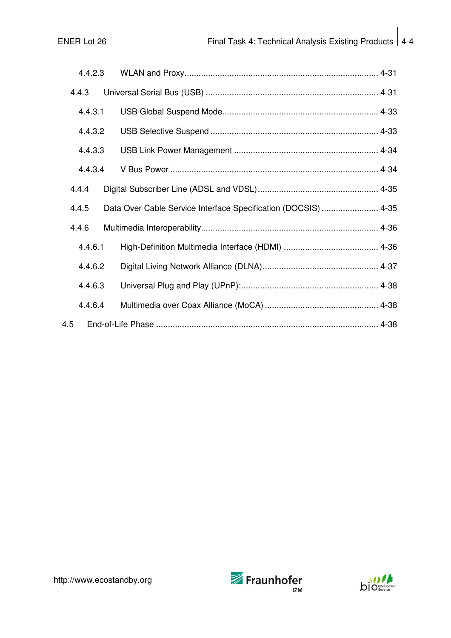| 4.4.2.3 |  |                                                                |  |
|---------|--|----------------------------------------------------------------|--|
| 4.4.3   |  |                                                                |  |
| 4.4.3.1 |  |                                                                |  |
| 4.4.3.2 |  |                                                                |  |
| 4.4.3.3 |  |                                                                |  |
| 4.4.3.4 |  |                                                                |  |
| 4.4.4   |  |                                                                |  |
| 4.4.5   |  | Data Over Cable Service Interface Specification (DOCSIS)  4-35 |  |
| 4.4.6   |  |                                                                |  |
| 4.4.6.1 |  |                                                                |  |
| 4.4.6.2 |  |                                                                |  |
| 4.4.6.3 |  |                                                                |  |
| 4.4.6.4 |  |                                                                |  |
| 4.5     |  |                                                                |  |



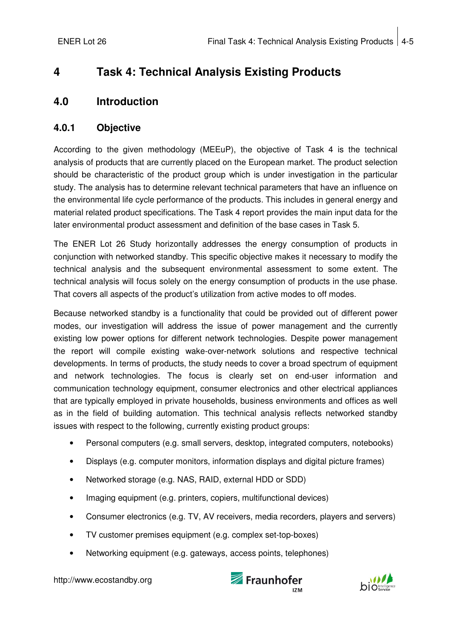## **4 Task 4: Technical Analysis Existing Products**

## **4.0 Introduction**

#### **4.0.1 Objective**

According to the given methodology (MEEuP), the objective of Task 4 is the technical analysis of products that are currently placed on the European market. The product selection should be characteristic of the product group which is under investigation in the particular study. The analysis has to determine relevant technical parameters that have an influence on the environmental life cycle performance of the products. This includes in general energy and material related product specifications. The Task 4 report provides the main input data for the later environmental product assessment and definition of the base cases in Task 5.

The ENER Lot 26 Study horizontally addresses the energy consumption of products in conjunction with networked standby. This specific objective makes it necessary to modify the technical analysis and the subsequent environmental assessment to some extent. The technical analysis will focus solely on the energy consumption of products in the use phase. That covers all aspects of the product's utilization from active modes to off modes.

Because networked standby is a functionality that could be provided out of different power modes, our investigation will address the issue of power management and the currently existing low power options for different network technologies. Despite power management the report will compile existing wake-over-network solutions and respective technical developments. In terms of products, the study needs to cover a broad spectrum of equipment and network technologies. The focus is clearly set on end-user information and communication technology equipment, consumer electronics and other electrical appliances that are typically employed in private households, business environments and offices as well as in the field of building automation. This technical analysis reflects networked standby issues with respect to the following, currently existing product groups:

- Personal computers (e.g. small servers, desktop, integrated computers, notebooks)
- Displays (e.g. computer monitors, information displays and digital picture frames)
- Networked storage (e.g. NAS, RAID, external HDD or SDD)
- Imaging equipment (e.g. printers, copiers, multifunctional devices)
- Consumer electronics (e.g. TV, AV receivers, media recorders, players and servers)
- TV customer premises equipment (e.g. complex set-top-boxes)
- Networking equipment (e.g. gateways, access points, telephones)



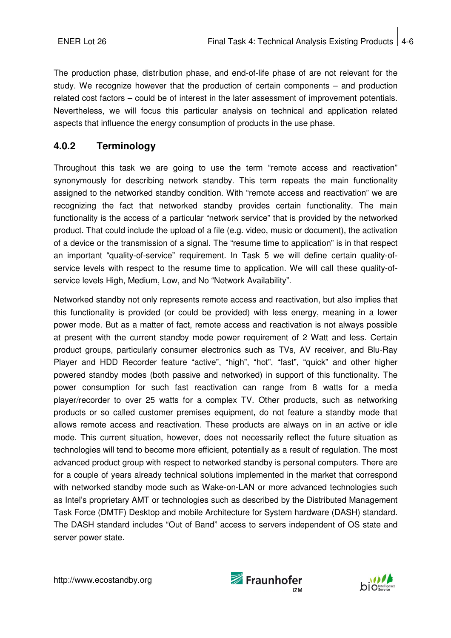The production phase, distribution phase, and end-of-life phase of are not relevant for the study. We recognize however that the production of certain components – and production related cost factors – could be of interest in the later assessment of improvement potentials. Nevertheless, we will focus this particular analysis on technical and application related aspects that influence the energy consumption of products in the use phase.

## **4.0.2 Terminology**

Throughout this task we are going to use the term "remote access and reactivation" synonymously for describing network standby. This term repeats the main functionality assigned to the networked standby condition. With "remote access and reactivation" we are recognizing the fact that networked standby provides certain functionality. The main functionality is the access of a particular "network service" that is provided by the networked product. That could include the upload of a file (e.g. video, music or document), the activation of a device or the transmission of a signal. The "resume time to application" is in that respect an important "quality-of-service" requirement. In Task 5 we will define certain quality-ofservice levels with respect to the resume time to application. We will call these quality-ofservice levels High, Medium, Low, and No "Network Availability".

Networked standby not only represents remote access and reactivation, but also implies that this functionality is provided (or could be provided) with less energy, meaning in a lower power mode. But as a matter of fact, remote access and reactivation is not always possible at present with the current standby mode power requirement of 2 Watt and less. Certain product groups, particularly consumer electronics such as TVs, AV receiver, and Blu-Ray Player and HDD Recorder feature "active", "high", "hot", "fast", "quick" and other higher powered standby modes (both passive and networked) in support of this functionality. The power consumption for such fast reactivation can range from 8 watts for a media player/recorder to over 25 watts for a complex TV. Other products, such as networking products or so called customer premises equipment, do not feature a standby mode that allows remote access and reactivation. These products are always on in an active or idle mode. This current situation, however, does not necessarily reflect the future situation as technologies will tend to become more efficient, potentially as a result of regulation. The most advanced product group with respect to networked standby is personal computers. There are for a couple of years already technical solutions implemented in the market that correspond with networked standby mode such as Wake-on-LAN or more advanced technologies such as Intel's proprietary AMT or technologies such as described by the Distributed Management Task Force (DMTF) Desktop and mobile Architecture for System hardware (DASH) standard. The DASH standard includes "Out of Band" access to servers independent of OS state and server power state.



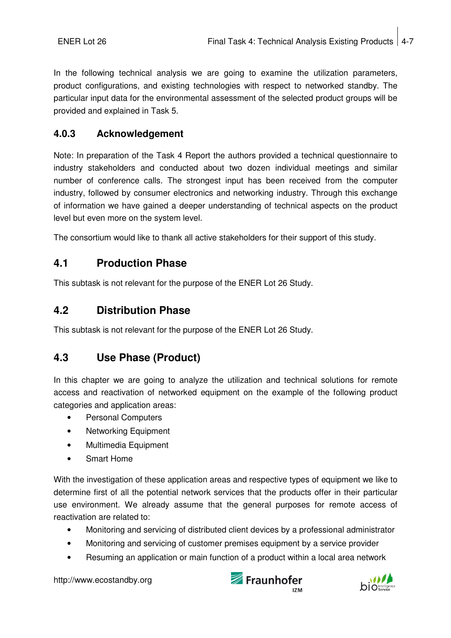In the following technical analysis we are going to examine the utilization parameters, product configurations, and existing technologies with respect to networked standby. The particular input data for the environmental assessment of the selected product groups will be provided and explained in Task 5.

## **4.0.3 Acknowledgement**

Note: In preparation of the Task 4 Report the authors provided a technical questionnaire to industry stakeholders and conducted about two dozen individual meetings and similar number of conference calls. The strongest input has been received from the computer industry, followed by consumer electronics and networking industry. Through this exchange of information we have gained a deeper understanding of technical aspects on the product level but even more on the system level.

The consortium would like to thank all active stakeholders for their support of this study.

## **4.1 Production Phase**

This subtask is not relevant for the purpose of the ENER Lot 26 Study.

## **4.2 Distribution Phase**

This subtask is not relevant for the purpose of the ENER Lot 26 Study.

## **4.3 Use Phase (Product)**

In this chapter we are going to analyze the utilization and technical solutions for remote access and reactivation of networked equipment on the example of the following product categories and application areas:

- Personal Computers
- Networking Equipment
- Multimedia Equipment
- Smart Home

With the investigation of these application areas and respective types of equipment we like to determine first of all the potential network services that the products offer in their particular use environment. We already assume that the general purposes for remote access of reactivation are related to:

- Monitoring and servicing of distributed client devices by a professional administrator
- Monitoring and servicing of customer premises equipment by a service provider
- Resuming an application or main function of a product within a local area network



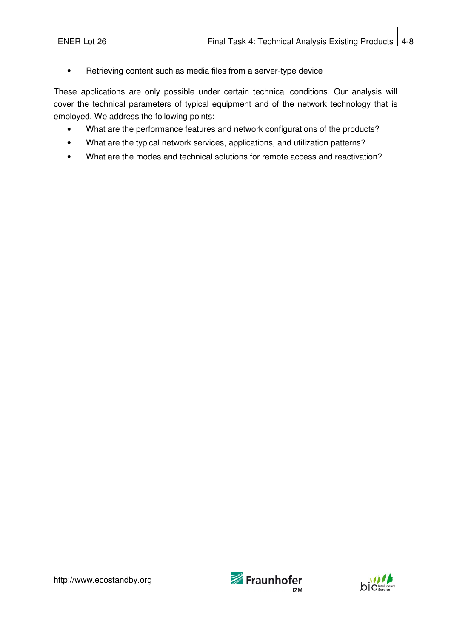• Retrieving content such as media files from a server-type device

These applications are only possible under certain technical conditions. Our analysis will cover the technical parameters of typical equipment and of the network technology that is employed. We address the following points:

- What are the performance features and network configurations of the products?
- What are the typical network services, applications, and utilization patterns?
- What are the modes and technical solutions for remote access and reactivation?



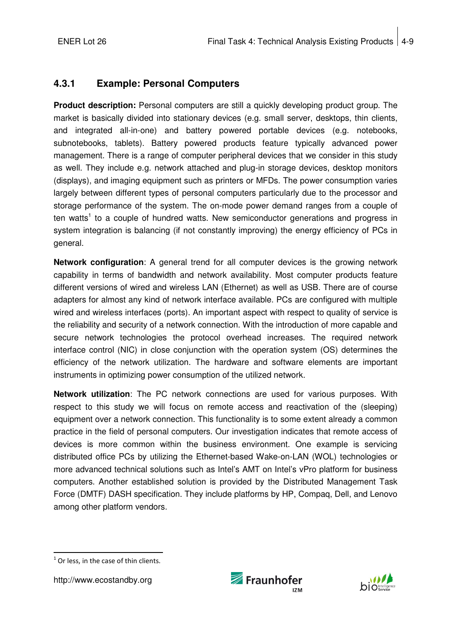## **4.3.1 Example: Personal Computers**

**Product description:** Personal computers are still a quickly developing product group. The market is basically divided into stationary devices (e.g. small server, desktops, thin clients, and integrated all-in-one) and battery powered portable devices (e.g. notebooks, subnotebooks, tablets). Battery powered products feature typically advanced power management. There is a range of computer peripheral devices that we consider in this study as well. They include e.g. network attached and plug-in storage devices, desktop monitors (displays), and imaging equipment such as printers or MFDs. The power consumption varies largely between different types of personal computers particularly due to the processor and storage performance of the system. The on-mode power demand ranges from a couple of ten watts<sup>1</sup> to a couple of hundred watts. New semiconductor generations and progress in system integration is balancing (if not constantly improving) the energy efficiency of PCs in general.

**Network configuration**: A general trend for all computer devices is the growing network capability in terms of bandwidth and network availability. Most computer products feature different versions of wired and wireless LAN (Ethernet) as well as USB. There are of course adapters for almost any kind of network interface available. PCs are configured with multiple wired and wireless interfaces (ports). An important aspect with respect to quality of service is the reliability and security of a network connection. With the introduction of more capable and secure network technologies the protocol overhead increases. The required network interface control (NIC) in close conjunction with the operation system (OS) determines the efficiency of the network utilization. The hardware and software elements are important instruments in optimizing power consumption of the utilized network.

**Network utilization**: The PC network connections are used for various purposes. With respect to this study we will focus on remote access and reactivation of the (sleeping) equipment over a network connection. This functionality is to some extent already a common practice in the field of personal computers. Our investigation indicates that remote access of devices is more common within the business environment. One example is servicing distributed office PCs by utilizing the Ethernet-based Wake-on-LAN (WOL) technologies or more advanced technical solutions such as Intel's AMT on Intel's vPro platform for business computers. Another established solution is provided by the Distributed Management Task Force (DMTF) DASH specification. They include platforms by HP, Compaq, Dell, and Lenovo among other platform vendors.





j  $<sup>1</sup>$  Or less, in the case of thin clients.</sup>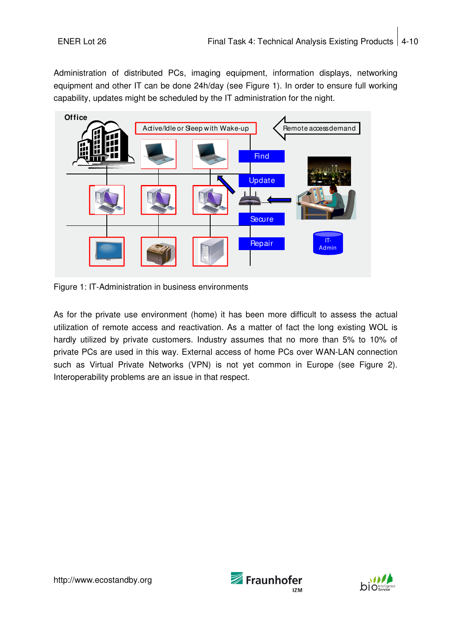Administration of distributed PCs, imaging equipment, information displays, networking equipment and other IT can be done 24h/day (see Figure 1). In order to ensure full working capability, updates might be scheduled by the IT administration for the night.



Figure 1: IT-Administration in business environments

As for the private use environment (home) it has been more difficult to assess the actual utilization of remote access and reactivation. As a matter of fact the long existing WOL is hardly utilized by private customers. Industry assumes that no more than 5% to 10% of private PCs are used in this way. External access of home PCs over WAN-LAN connection such as Virtual Private Networks (VPN) is not yet common in Europe (see Figure 2). Interoperability problems are an issue in that respect.



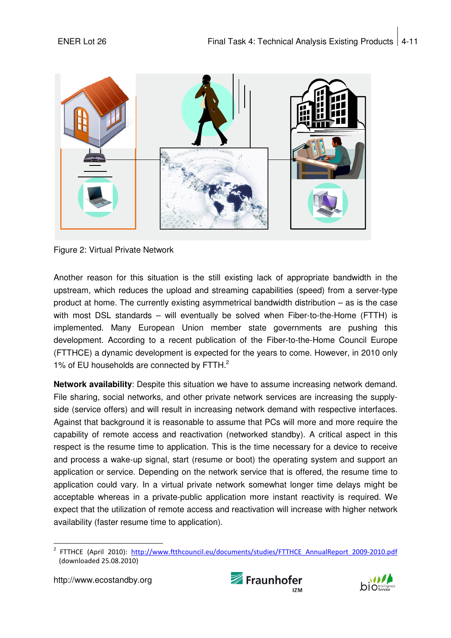

Figure 2: Virtual Private Network

Another reason for this situation is the still existing lack of appropriate bandwidth in the upstream, which reduces the upload and streaming capabilities (speed) from a server-type product at home. The currently existing asymmetrical bandwidth distribution – as is the case with most DSL standards – will eventually be solved when Fiber-to-the-Home (FTTH) is implemented. Many European Union member state governments are pushing this development. According to a recent publication of the Fiber-to-the-Home Council Europe (FTTHCE) a dynamic development is expected for the years to come. However, in 2010 only 1% of EU households are connected by FTTH.<sup>2</sup>

**Network availability**: Despite this situation we have to assume increasing network demand. File sharing, social networks, and other private network services are increasing the supplyside (service offers) and will result in increasing network demand with respective interfaces. Against that background it is reasonable to assume that PCs will more and more require the capability of remote access and reactivation (networked standby). A critical aspect in this respect is the resume time to application. This is the time necessary for a device to receive and process a wake-up signal, start (resume or boot) the operating system and support an application or service. Depending on the network service that is offered, the resume time to application could vary. In a virtual private network somewhat longer time delays might be acceptable whereas in a private-public application more instant reactivity is required. We expect that the utilization of remote access and reactivation will increase with higher network availability (faster resume time to application).





<sup>1</sup> 2 FTTHCE (April 2010): http://www.ftthcouncil.eu/documents/studies/FTTHCE\_AnnualReport\_2009-2010.pdf (downloaded 25.08.2010)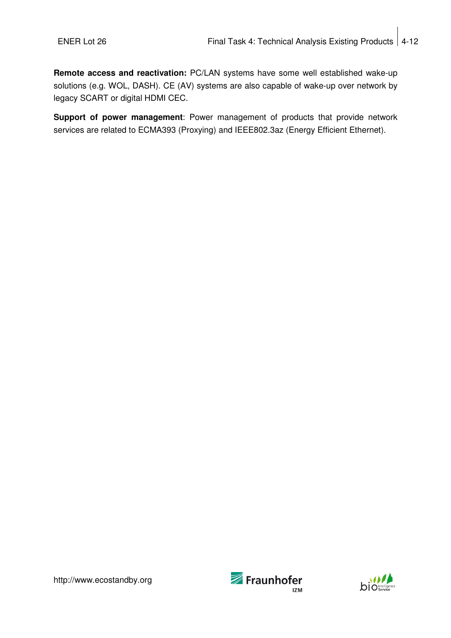**Remote access and reactivation:** PC/LAN systems have some well established wake-up solutions (e.g. WOL, DASH). CE (AV) systems are also capable of wake-up over network by legacy SCART or digital HDMI CEC.

**Support of power management**: Power management of products that provide network services are related to ECMA393 (Proxying) and IEEE802.3az (Energy Efficient Ethernet).



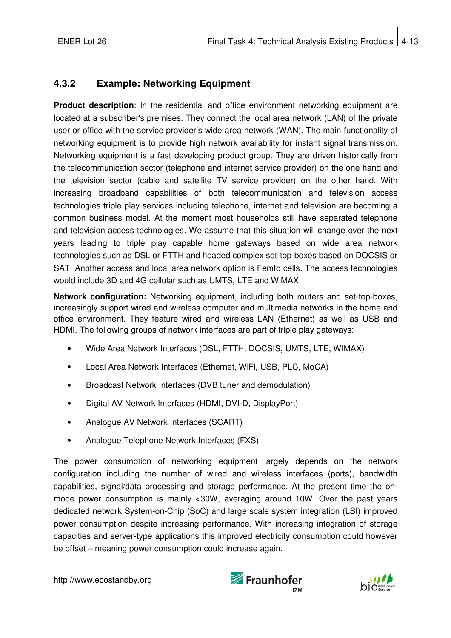## **4.3.2 Example: Networking Equipment**

**Product description**: In the residential and office environment networking equipment are located at a subscriber's premises. They connect the local area network (LAN) of the private user or office with the service provider's wide area network (WAN). The main functionality of networking equipment is to provide high network availability for instant signal transmission. Networking equipment is a fast developing product group. They are driven historically from the telecommunication sector (telephone and internet service provider) on the one hand and the television sector (cable and satellite TV service provider) on the other hand. With increasing broadband capabilities of both telecommunication and television access technologies triple play services including telephone, internet and television are becoming a common business model. At the moment most households still have separated telephone and television access technologies. We assume that this situation will change over the next years leading to triple play capable home gateways based on wide area network technologies such as DSL or FTTH and headed complex set-top-boxes based on DOCSIS or SAT. Another access and local area network option is Femto cells. The access technologies would include 3D and 4G cellular such as UMTS, LTE and WiMAX.

**Network configuration:** Networking equipment, including both routers and set-top-boxes, increasingly support wired and wireless computer and multimedia networks in the home and office environment. They feature wired and wireless LAN (Ethernet) as well as USB and HDMI. The following groups of network interfaces are part of triple play gateways:

- Wide Area Network Interfaces (DSL, FTTH, DOCSIS, UMTS, LTE, WIMAX)
- Local Area Network Interfaces (Ethernet, WiFi, USB, PLC, MoCA)
- Broadcast Network Interfaces (DVB tuner and demodulation)
- Digital AV Network Interfaces (HDMI, DVI-D, DisplayPort)
- Analogue AV Network Interfaces (SCART)
- Analogue Telephone Network Interfaces (FXS)

The power consumption of networking equipment largely depends on the network configuration including the number of wired and wireless interfaces (ports), bandwidth capabilities, signal/data processing and storage performance. At the present time the onmode power consumption is mainly <30W, averaging around 10W. Over the past years dedicated network System-on-Chip (SoC) and large scale system integration (LSI) improved power consumption despite increasing performance. With increasing integration of storage capacities and server-type applications this improved electricity consumption could however be offset – meaning power consumption could increase again.



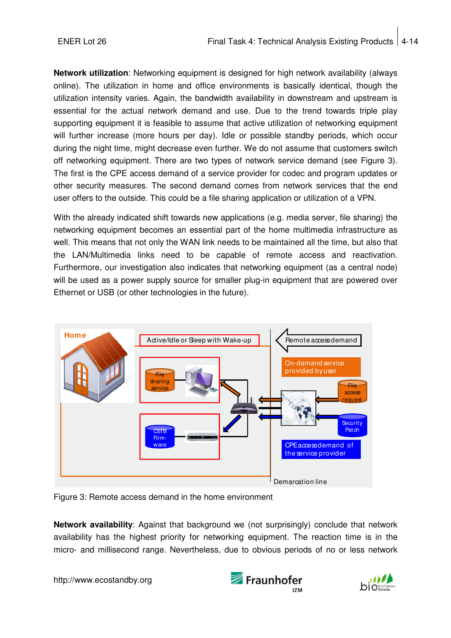**Network utilization**: Networking equipment is designed for high network availability (always online). The utilization in home and office environments is basically identical, though the utilization intensity varies. Again, the bandwidth availability in downstream and upstream is essential for the actual network demand and use. Due to the trend towards triple play supporting equipment it is feasible to assume that active utilization of networking equipment will further increase (more hours per day). Idle or possible standby periods, which occur during the night time, might decrease even further. We do not assume that customers switch off networking equipment. There are two types of network service demand (see Figure 3). The first is the CPE access demand of a service provider for codec and program updates or other security measures. The second demand comes from network services that the end user offers to the outside. This could be a file sharing application or utilization of a VPN.

With the already indicated shift towards new applications (e.g. media server, file sharing) the networking equipment becomes an essential part of the home multimedia infrastructure as well. This means that not only the WAN link needs to be maintained all the time, but also that the LAN/Multimedia links need to be capable of remote access and reactivation. Furthermore, our investigation also indicates that networking equipment (as a central node) will be used as a power supply source for smaller plug-in equipment that are powered over Ethernet or USB (or other technologies in the future).



Figure 3: Remote access demand in the home environment

**Network availability**: Against that background we (not surprisingly) conclude that network availability has the highest priority for networking equipment. The reaction time is in the micro- and millisecond range. Nevertheless, due to obvious periods of no or less network



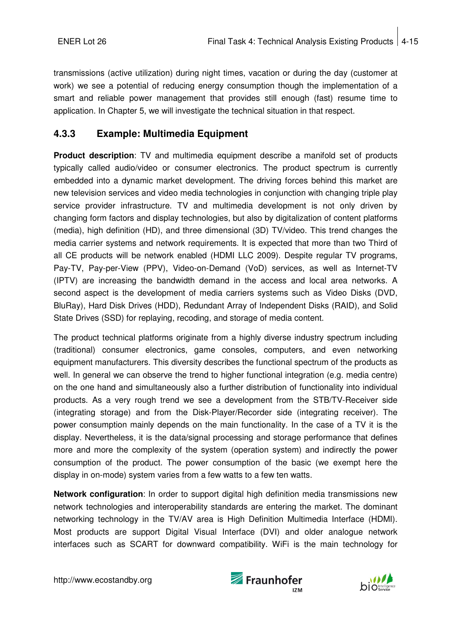transmissions (active utilization) during night times, vacation or during the day (customer at work) we see a potential of reducing energy consumption though the implementation of a smart and reliable power management that provides still enough (fast) resume time to application. In Chapter 5, we will investigate the technical situation in that respect.

## **4.3.3 Example: Multimedia Equipment**

**Product description**: TV and multimedia equipment describe a manifold set of products typically called audio/video or consumer electronics. The product spectrum is currently embedded into a dynamic market development. The driving forces behind this market are new television services and video media technologies in conjunction with changing triple play service provider infrastructure. TV and multimedia development is not only driven by changing form factors and display technologies, but also by digitalization of content platforms (media), high definition (HD), and three dimensional (3D) TV/video. This trend changes the media carrier systems and network requirements. It is expected that more than two Third of all CE products will be network enabled (HDMI LLC 2009). Despite regular TV programs, Pay-TV, Pay-per-View (PPV), Video-on-Demand (VoD) services, as well as Internet-TV (IPTV) are increasing the bandwidth demand in the access and local area networks. A second aspect is the development of media carriers systems such as Video Disks (DVD, BluRay), Hard Disk Drives (HDD), Redundant Array of Independent Disks (RAID), and Solid State Drives (SSD) for replaying, recoding, and storage of media content.

The product technical platforms originate from a highly diverse industry spectrum including (traditional) consumer electronics, game consoles, computers, and even networking equipment manufacturers. This diversity describes the functional spectrum of the products as well. In general we can observe the trend to higher functional integration (e.g. media centre) on the one hand and simultaneously also a further distribution of functionality into individual products. As a very rough trend we see a development from the STB/TV-Receiver side (integrating storage) and from the Disk-Player/Recorder side (integrating receiver). The power consumption mainly depends on the main functionality. In the case of a TV it is the display. Nevertheless, it is the data/signal processing and storage performance that defines more and more the complexity of the system (operation system) and indirectly the power consumption of the product. The power consumption of the basic (we exempt here the display in on-mode) system varies from a few watts to a few ten watts.

**Network configuration**: In order to support digital high definition media transmissions new network technologies and interoperability standards are entering the market. The dominant networking technology in the TV/AV area is High Definition Multimedia Interface (HDMI). Most products are support Digital Visual Interface (DVI) and older analogue network interfaces such as SCART for downward compatibility. WiFi is the main technology for



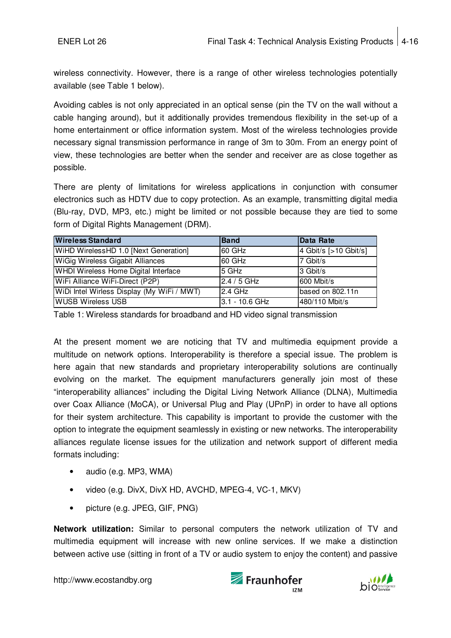wireless connectivity. However, there is a range of other wireless technologies potentially available (see Table 1 below).

Avoiding cables is not only appreciated in an optical sense (pin the TV on the wall without a cable hanging around), but it additionally provides tremendous flexibility in the set-up of a home entertainment or office information system. Most of the wireless technologies provide necessary signal transmission performance in range of 3m to 30m. From an energy point of view, these technologies are better when the sender and receiver are as close together as possible.

There are plenty of limitations for wireless applications in conjunction with consumer electronics such as HDTV due to copy protection. As an example, transmitting digital media (Blu-ray, DVD, MP3, etc.) might be limited or not possible because they are tied to some form of Digital Rights Management (DRM).

| <b>Wireless Standard</b>                    | <b>Band</b>    | Data Rate             |
|---------------------------------------------|----------------|-----------------------|
| WiHD WirelessHD 1.0 [Next Generation]       | 60 GHz         | 4 Gbit/s [>10 Gbit/s] |
| <b>WiGig Wireless Gigabit Alliances</b>     | 60 GHz         | 7 Gbit/s              |
| <b>WHDI Wireless Home Digital Interface</b> | 5 GHz          | 3 Gbit/s              |
| WiFi Alliance WiFi-Direct (P2P)             | 2.4 / 5 GHz    | 600 Mbit/s            |
| WiDi Intel Wirless Display (My WiFi / MWT)  | 2.4 GHz        | based on 802.11n      |
| <b>WUSB Wireless USB</b>                    | 3.1 - 10.6 GHz | 480/110 Mbit/s        |

Table 1: Wireless standards for broadband and HD video signal transmission

At the present moment we are noticing that TV and multimedia equipment provide a multitude on network options. Interoperability is therefore a special issue. The problem is here again that new standards and proprietary interoperability solutions are continually evolving on the market. The equipment manufacturers generally join most of these "interoperability alliances" including the Digital Living Network Alliance (DLNA), Multimedia over Coax Alliance (MoCA), or Universal Plug and Play (UPnP) in order to have all options for their system architecture. This capability is important to provide the customer with the option to integrate the equipment seamlessly in existing or new networks. The interoperability alliances regulate license issues for the utilization and network support of different media formats including:

- audio (e.g. MP3, WMA)
- video (e.g. DivX, DivX HD, AVCHD, MPEG-4, VC-1, MKV)
- picture (e.g. JPEG, GIF, PNG)

**Network utilization:** Similar to personal computers the network utilization of TV and multimedia equipment will increase with new online services. If we make a distinction between active use (sitting in front of a TV or audio system to enjoy the content) and passive

http://www.ecostandby.org

Fraunhofer

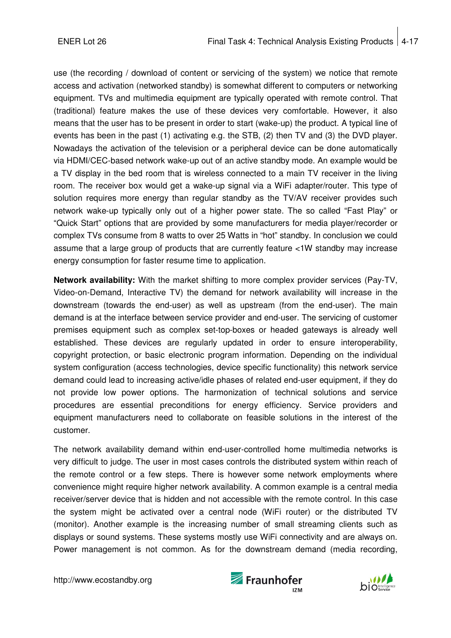use (the recording / download of content or servicing of the system) we notice that remote access and activation (networked standby) is somewhat different to computers or networking equipment. TVs and multimedia equipment are typically operated with remote control. That (traditional) feature makes the use of these devices very comfortable. However, it also means that the user has to be present in order to start (wake-up) the product. A typical line of events has been in the past (1) activating e.g. the STB, (2) then TV and (3) the DVD player. Nowadays the activation of the television or a peripheral device can be done automatically via HDMI/CEC-based network wake-up out of an active standby mode. An example would be a TV display in the bed room that is wireless connected to a main TV receiver in the living room. The receiver box would get a wake-up signal via a WiFi adapter/router. This type of solution requires more energy than regular standby as the TV/AV receiver provides such network wake-up typically only out of a higher power state. The so called "Fast Play" or "Quick Start" options that are provided by some manufacturers for media player/recorder or complex TVs consume from 8 watts to over 25 Watts in "hot" standby. In conclusion we could assume that a large group of products that are currently feature <1W standby may increase energy consumption for faster resume time to application.

**Network availability:** With the market shifting to more complex provider services (Pay-TV, Video-on-Demand, Interactive TV) the demand for network availability will increase in the downstream (towards the end-user) as well as upstream (from the end-user). The main demand is at the interface between service provider and end-user. The servicing of customer premises equipment such as complex set-top-boxes or headed gateways is already well established. These devices are regularly updated in order to ensure interoperability, copyright protection, or basic electronic program information. Depending on the individual system configuration (access technologies, device specific functionality) this network service demand could lead to increasing active/idle phases of related end-user equipment, if they do not provide low power options. The harmonization of technical solutions and service procedures are essential preconditions for energy efficiency. Service providers and equipment manufacturers need to collaborate on feasible solutions in the interest of the customer.

The network availability demand within end-user-controlled home multimedia networks is very difficult to judge. The user in most cases controls the distributed system within reach of the remote control or a few steps. There is however some network employments where convenience might require higher network availability. A common example is a central media receiver/server device that is hidden and not accessible with the remote control. In this case the system might be activated over a central node (WiFi router) or the distributed TV (monitor). Another example is the increasing number of small streaming clients such as displays or sound systems. These systems mostly use WiFi connectivity and are always on. Power management is not common. As for the downstream demand (media recording,



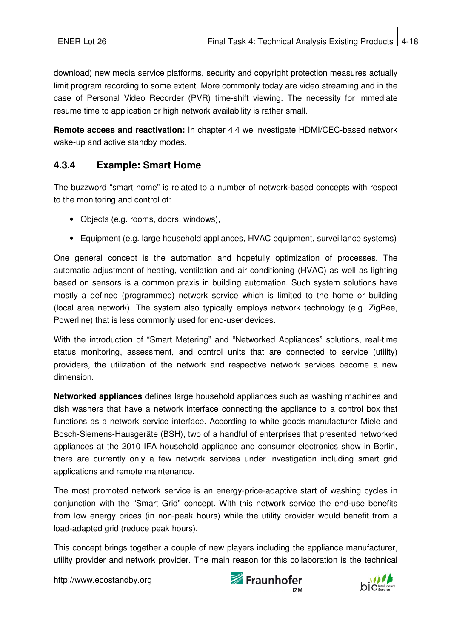download) new media service platforms, security and copyright protection measures actually limit program recording to some extent. More commonly today are video streaming and in the case of Personal Video Recorder (PVR) time-shift viewing. The necessity for immediate resume time to application or high network availability is rather small.

**Remote access and reactivation:** In chapter 4.4 we investigate HDMI/CEC-based network wake-up and active standby modes.

## **4.3.4 Example: Smart Home**

The buzzword "smart home" is related to a number of network-based concepts with respect to the monitoring and control of:

- Objects (e.g. rooms, doors, windows),
- Equipment (e.g. large household appliances, HVAC equipment, surveillance systems)

One general concept is the automation and hopefully optimization of processes. The automatic adjustment of heating, ventilation and air conditioning (HVAC) as well as lighting based on sensors is a common praxis in building automation. Such system solutions have mostly a defined (programmed) network service which is limited to the home or building (local area network). The system also typically employs network technology (e.g. ZigBee, Powerline) that is less commonly used for end-user devices.

With the introduction of "Smart Metering" and "Networked Appliances" solutions, real-time status monitoring, assessment, and control units that are connected to service (utility) providers, the utilization of the network and respective network services become a new dimension.

**Networked appliances** defines large household appliances such as washing machines and dish washers that have a network interface connecting the appliance to a control box that functions as a network service interface. According to white goods manufacturer Miele and Bosch-Siemens-Hausgeräte (BSH), two of a handful of enterprises that presented networked appliances at the 2010 IFA household appliance and consumer electronics show in Berlin, there are currently only a few network services under investigation including smart grid applications and remote maintenance.

The most promoted network service is an energy-price-adaptive start of washing cycles in conjunction with the "Smart Grid" concept. With this network service the end-use benefits from low energy prices (in non-peak hours) while the utility provider would benefit from a load-adapted grid (reduce peak hours).

This concept brings together a couple of new players including the appliance manufacturer, utility provider and network provider. The main reason for this collaboration is the technical



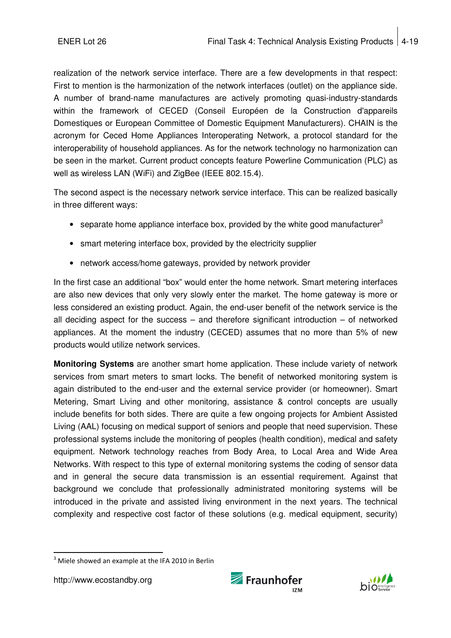realization of the network service interface. There are a few developments in that respect: First to mention is the harmonization of the network interfaces (outlet) on the appliance side. A number of brand-name manufactures are actively promoting quasi-industry-standards within the framework of CECED (Conseil Européen de la Construction d'appareils Domestiques or European Committee of Domestic Equipment Manufacturers). CHAIN is the acronym for Ceced Home Appliances Interoperating Network, a protocol standard for the interoperability of household appliances. As for the network technology no harmonization can be seen in the market. Current product concepts feature Powerline Communication (PLC) as well as wireless LAN (WiFi) and ZigBee (IEEE 802.15.4).

The second aspect is the necessary network service interface. This can be realized basically in three different ways:

- separate home appliance interface box, provided by the white good manufacturer<sup>3</sup>
- smart metering interface box, provided by the electricity supplier
- network access/home gateways, provided by network provider

In the first case an additional "box" would enter the home network. Smart metering interfaces are also new devices that only very slowly enter the market. The home gateway is more or less considered an existing product. Again, the end-user benefit of the network service is the all deciding aspect for the success – and therefore significant introduction – of networked appliances. At the moment the industry (CECED) assumes that no more than 5% of new products would utilize network services.

**Monitoring Systems** are another smart home application. These include variety of network services from smart meters to smart locks. The benefit of networked monitoring system is again distributed to the end-user and the external service provider (or homeowner). Smart Metering, Smart Living and other monitoring, assistance & control concepts are usually include benefits for both sides. There are quite a few ongoing projects for Ambient Assisted Living (AAL) focusing on medical support of seniors and people that need supervision. These professional systems include the monitoring of peoples (health condition), medical and safety equipment. Network technology reaches from Body Area, to Local Area and Wide Area Networks. With respect to this type of external monitoring systems the coding of sensor data and in general the secure data transmission is an essential requirement. Against that background we conclude that professionally administrated monitoring systems will be introduced in the private and assisted living environment in the next years. The technical complexity and respective cost factor of these solutions (e.g. medical equipment, security)

http://www.ecostandby.org

j





 $3$  Miele showed an example at the IFA 2010 in Berlin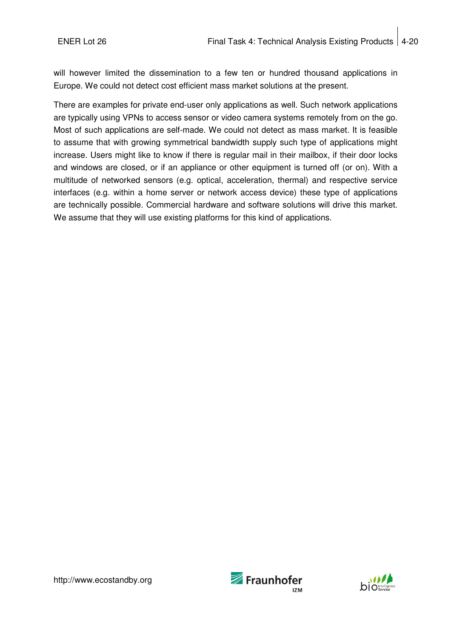will however limited the dissemination to a few ten or hundred thousand applications in Europe. We could not detect cost efficient mass market solutions at the present.

There are examples for private end-user only applications as well. Such network applications are typically using VPNs to access sensor or video camera systems remotely from on the go. Most of such applications are self-made. We could not detect as mass market. It is feasible to assume that with growing symmetrical bandwidth supply such type of applications might increase. Users might like to know if there is regular mail in their mailbox, if their door locks and windows are closed, or if an appliance or other equipment is turned off (or on). With a multitude of networked sensors (e.g. optical, acceleration, thermal) and respective service interfaces (e.g. within a home server or network access device) these type of applications are technically possible. Commercial hardware and software solutions will drive this market. We assume that they will use existing platforms for this kind of applications.



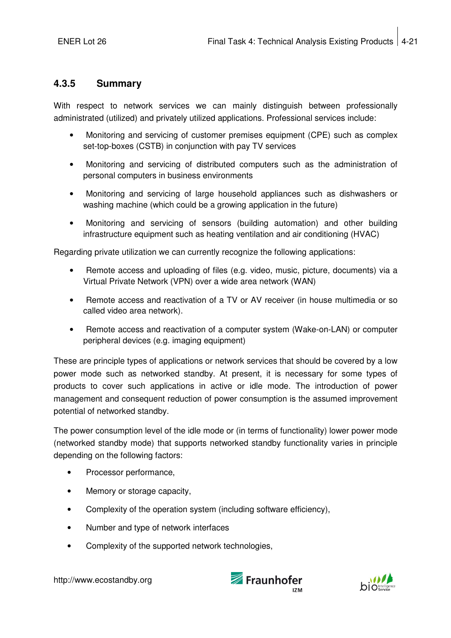### **4.3.5 Summary**

With respect to network services we can mainly distinguish between professionally administrated (utilized) and privately utilized applications. Professional services include:

- Monitoring and servicing of customer premises equipment (CPE) such as complex set-top-boxes (CSTB) in conjunction with pay TV services
- Monitoring and servicing of distributed computers such as the administration of personal computers in business environments
- Monitoring and servicing of large household appliances such as dishwashers or washing machine (which could be a growing application in the future)
- Monitoring and servicing of sensors (building automation) and other building infrastructure equipment such as heating ventilation and air conditioning (HVAC)

Regarding private utilization we can currently recognize the following applications:

- Remote access and uploading of files (e.g. video, music, picture, documents) via a Virtual Private Network (VPN) over a wide area network (WAN)
- Remote access and reactivation of a TV or AV receiver (in house multimedia or so called video area network).
- Remote access and reactivation of a computer system (Wake-on-LAN) or computer peripheral devices (e.g. imaging equipment)

These are principle types of applications or network services that should be covered by a low power mode such as networked standby. At present, it is necessary for some types of products to cover such applications in active or idle mode. The introduction of power management and consequent reduction of power consumption is the assumed improvement potential of networked standby.

The power consumption level of the idle mode or (in terms of functionality) lower power mode (networked standby mode) that supports networked standby functionality varies in principle depending on the following factors:

- Processor performance,
- Memory or storage capacity,
- Complexity of the operation system (including software efficiency),
- Number and type of network interfaces
- Complexity of the supported network technologies.



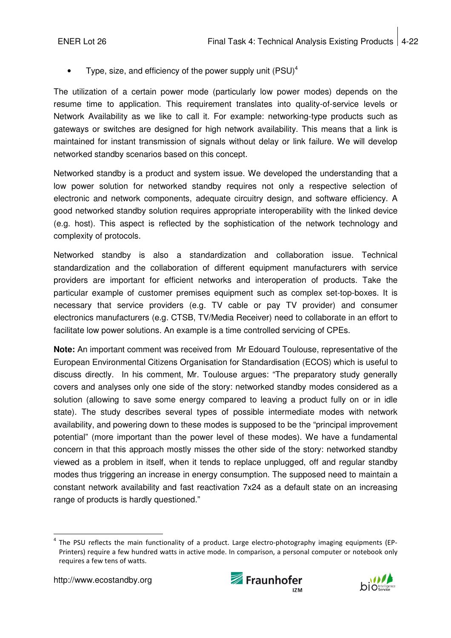Type, size, and efficiency of the power supply unit  $(PSU)^4$ 

The utilization of a certain power mode (particularly low power modes) depends on the resume time to application. This requirement translates into quality-of-service levels or Network Availability as we like to call it. For example: networking-type products such as gateways or switches are designed for high network availability. This means that a link is maintained for instant transmission of signals without delay or link failure. We will develop networked standby scenarios based on this concept.

Networked standby is a product and system issue. We developed the understanding that a low power solution for networked standby requires not only a respective selection of electronic and network components, adequate circuitry design, and software efficiency. A good networked standby solution requires appropriate interoperability with the linked device (e.g. host). This aspect is reflected by the sophistication of the network technology and complexity of protocols.

Networked standby is also a standardization and collaboration issue. Technical standardization and the collaboration of different equipment manufacturers with service providers are important for efficient networks and interoperation of products. Take the particular example of customer premises equipment such as complex set-top-boxes. It is necessary that service providers (e.g. TV cable or pay TV provider) and consumer electronics manufacturers (e.g. CTSB, TV/Media Receiver) need to collaborate in an effort to facilitate low power solutions. An example is a time controlled servicing of CPEs.

**Note:** An important comment was received from Mr Edouard Toulouse, representative of the European Environmental Citizens Organisation for Standardisation (ECOS) which is useful to discuss directly. In his comment, Mr. Toulouse argues: "The preparatory study generally covers and analyses only one side of the story: networked standby modes considered as a solution (allowing to save some energy compared to leaving a product fully on or in idle state). The study describes several types of possible intermediate modes with network availability, and powering down to these modes is supposed to be the "principal improvement potential" (more important than the power level of these modes). We have a fundamental concern in that this approach mostly misses the other side of the story: networked standby viewed as a problem in itself, when it tends to replace unplugged, off and regular standby modes thus triggering an increase in energy consumption. The supposed need to maintain a constant network availability and fast reactivation 7x24 as a default state on an increasing range of products is hardly questioned."





j 4 The PSU reflects the main functionality of a product. Large electro-photography imaging equipments (EP-Printers) require a few hundred watts in active mode. In comparison, a personal computer or notebook only requires a few tens of watts.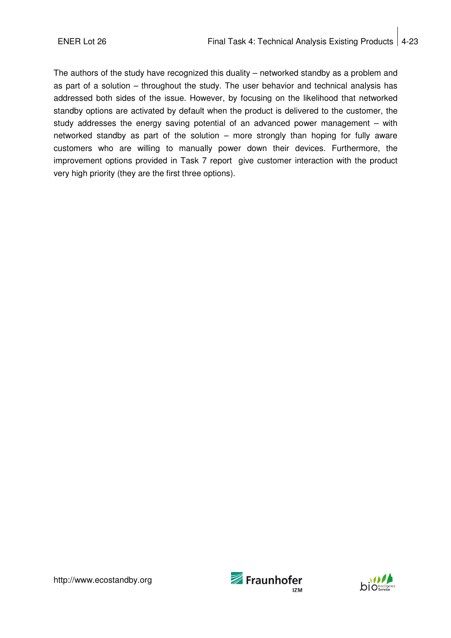The authors of the study have recognized this duality – networked standby as a problem and as part of a solution – throughout the study. The user behavior and technical analysis has addressed both sides of the issue. However, by focusing on the likelihood that networked standby options are activated by default when the product is delivered to the customer, the study addresses the energy saving potential of an advanced power management – with networked standby as part of the solution – more strongly than hoping for fully aware customers who are willing to manually power down their devices. Furthermore, the improvement options provided in Task 7 report give customer interaction with the product very high priority (they are the first three options).



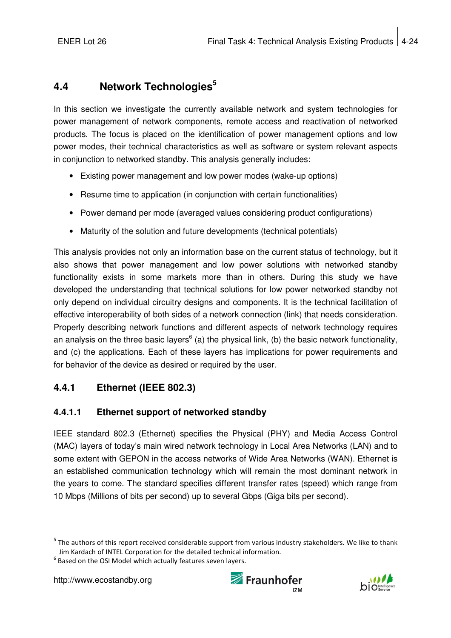## **4.4 Network Technologies<sup>5</sup>**

In this section we investigate the currently available network and system technologies for power management of network components, remote access and reactivation of networked products. The focus is placed on the identification of power management options and low power modes, their technical characteristics as well as software or system relevant aspects in conjunction to networked standby. This analysis generally includes:

- Existing power management and low power modes (wake-up options)
- Resume time to application (in conjunction with certain functionalities)
- Power demand per mode (averaged values considering product configurations)
- Maturity of the solution and future developments (technical potentials)

This analysis provides not only an information base on the current status of technology, but it also shows that power management and low power solutions with networked standby functionality exists in some markets more than in others. During this study we have developed the understanding that technical solutions for low power networked standby not only depend on individual circuitry designs and components. It is the technical facilitation of effective interoperability of both sides of a network connection (link) that needs consideration. Properly describing network functions and different aspects of network technology requires an analysis on the three basic layers<sup>6</sup> (a) the physical link, (b) the basic network functionality, and (c) the applications. Each of these layers has implications for power requirements and for behavior of the device as desired or required by the user.

## **4.4.1 Ethernet (IEEE 802.3)**

## **4.4.1.1 Ethernet support of networked standby**

IEEE standard 802.3 (Ethernet) specifies the Physical (PHY) and Media Access Control (MAC) layers of today's main wired network technology in Local Area Networks (LAN) and to some extent with GEPON in the access networks of Wide Area Networks (WAN). Ethernet is an established communication technology which will remain the most dominant network in the years to come. The standard specifies different transfer rates (speed) which range from 10 Mbps (Millions of bits per second) up to several Gbps (Giga bits per second).

j





<sup>&</sup>lt;sup>5</sup> The authors of this report received considerable support from various industry stakeholders. We like to thank Jim Kardach of INTEL Corporation for the detailed technical information.

 $<sup>6</sup>$  Based on the OSI Model which actually features seven layers.</sup>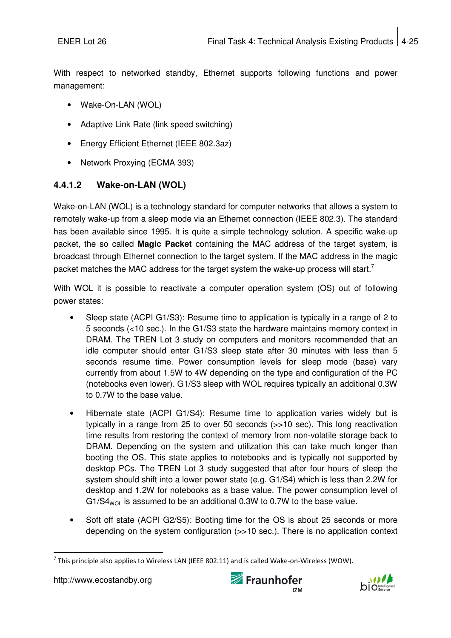With respect to networked standby, Ethernet supports following functions and power management:

- Wake-On-LAN (WOL)
- Adaptive Link Rate (link speed switching)
- Energy Efficient Ethernet (IEEE 802.3az)
- Network Proxying (ECMA 393)

## **4.4.1.2 Wake-on-LAN (WOL)**

Wake-on-LAN (WOL) is a technology standard for computer networks that allows a system to remotely wake-up from a sleep mode via an Ethernet connection (IEEE 802.3). The standard has been available since 1995. It is quite a simple technology solution. A specific wake-up packet, the so called **Magic Packet** containing the MAC address of the target system, is broadcast through Ethernet connection to the target system. If the MAC address in the magic packet matches the MAC address for the target system the wake-up process will start.<sup>7</sup>

With WOL it is possible to reactivate a computer operation system (OS) out of following power states:

- Sleep state (ACPI G1/S3): Resume time to application is typically in a range of 2 to 5 seconds (<10 sec.). In the G1/S3 state the hardware maintains memory context in DRAM. The TREN Lot 3 study on computers and monitors recommended that an idle computer should enter G1/S3 sleep state after 30 minutes with less than 5 seconds resume time. Power consumption levels for sleep mode (base) vary currently from about 1.5W to 4W depending on the type and configuration of the PC (notebooks even lower). G1/S3 sleep with WOL requires typically an additional 0.3W to 0.7W to the base value.
- Hibernate state (ACPI G1/S4): Resume time to application varies widely but is typically in a range from 25 to over 50 seconds (>>10 sec). This long reactivation time results from restoring the context of memory from non-volatile storage back to DRAM. Depending on the system and utilization this can take much longer than booting the OS. This state applies to notebooks and is typically not supported by desktop PCs. The TREN Lot 3 study suggested that after four hours of sleep the system should shift into a lower power state (e.g. G1/S4) which is less than 2.2W for desktop and 1.2W for notebooks as a base value. The power consumption level of  $G1/S4_{WOL}$  is assumed to be an additional 0.3W to 0.7W to the base value.
- Soft off state (ACPI G2/S5): Booting time for the OS is about 25 seconds or more depending on the system configuration  $(\gg10 \text{ sec.})$ . There is no application context





j <sup>7</sup> This principle also applies to Wireless LAN (IEEE 802.11) and is called Wake-on-Wireless (WOW).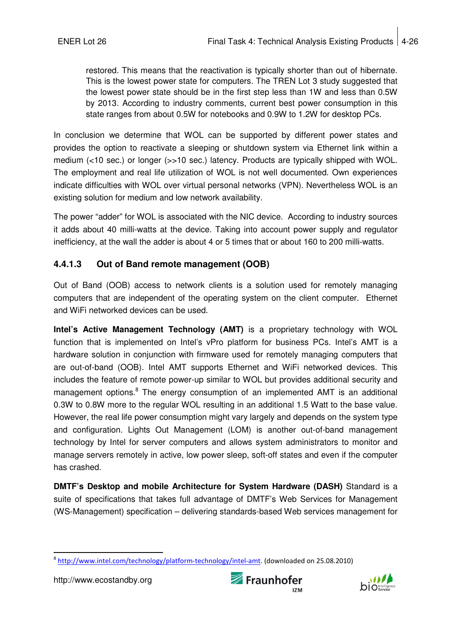restored. This means that the reactivation is typically shorter than out of hibernate. This is the lowest power state for computers. The TREN Lot 3 study suggested that the lowest power state should be in the first step less than 1W and less than 0.5W by 2013. According to industry comments, current best power consumption in this state ranges from about 0.5W for notebooks and 0.9W to 1.2W for desktop PCs.

In conclusion we determine that WOL can be supported by different power states and provides the option to reactivate a sleeping or shutdown system via Ethernet link within a medium (<10 sec.) or longer (>>10 sec.) latency. Products are typically shipped with WOL. The employment and real life utilization of WOL is not well documented. Own experiences indicate difficulties with WOL over virtual personal networks (VPN). Nevertheless WOL is an existing solution for medium and low network availability.

The power "adder" for WOL is associated with the NIC device. According to industry sources it adds about 40 milli-watts at the device. Taking into account power supply and regulator inefficiency, at the wall the adder is about 4 or 5 times that or about 160 to 200 milli-watts.

#### **4.4.1.3 Out of Band remote management (OOB)**

Out of Band (OOB) access to network clients is a solution used for remotely managing computers that are independent of the operating system on the client computer. Ethernet and WiFi networked devices can be used.

**Intel's Active Management Technology (AMT)** is a proprietary technology with WOL function that is implemented on Intel's vPro platform for business PCs. Intel's AMT is a hardware solution in conjunction with firmware used for remotely managing computers that are out-of-band (OOB). Intel AMT supports Ethernet and WiFi networked devices. This includes the feature of remote power-up similar to WOL but provides additional security and management options.<sup>8</sup> The energy consumption of an implemented AMT is an additional 0.3W to 0.8W more to the regular WOL resulting in an additional 1.5 Watt to the base value. However, the real life power consumption might vary largely and depends on the system type and configuration. Lights Out Management (LOM) is another out-of-band management technology by Intel for server computers and allows system administrators to monitor and manage servers remotely in active, low power sleep, soft-off states and even if the computer has crashed.

**DMTF's Desktop and mobile Architecture for System Hardware (DASH)** Standard is a suite of specifications that takes full advantage of DMTF's Web Services for Management (WS-Management) specification – delivering standards-based Web services management for





j <sup>8</sup> http://www.intel.com/technology/platform-technology/intel-amt. (downloaded on 25.08.2010)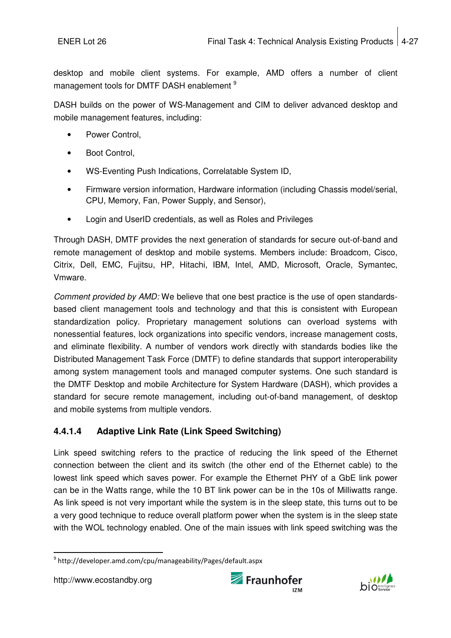desktop and mobile client systems. For example, AMD offers a number of client management tools for DMTF DASH enablement <sup>9</sup>

DASH builds on the power of WS-Management and CIM to deliver advanced desktop and mobile management features, including:

- Power Control,
- Boot Control,
- WS-Eventing Push Indications, Correlatable System ID,
- Firmware version information, Hardware information (including Chassis model/serial, CPU, Memory, Fan, Power Supply, and Sensor),
- Login and UserID credentials, as well as Roles and Privileges

Through DASH, DMTF provides the next generation of standards for secure out-of-band and remote management of desktop and mobile systems. Members include: Broadcom, Cisco, Citrix, Dell, EMC, Fujitsu, HP, Hitachi, IBM, Intel, AMD, Microsoft, Oracle, Symantec, Vmware.

Comment provided by AMD: We believe that one best practice is the use of open standardsbased client management tools and technology and that this is consistent with European standardization policy. Proprietary management solutions can overload systems with nonessential features, lock organizations into specific vendors, increase management costs, and eliminate flexibility. A number of vendors work directly with standards bodies like the Distributed Management Task Force (DMTF) to define standards that support interoperability among system management tools and managed computer systems. One such standard is the DMTF Desktop and mobile Architecture for System Hardware (DASH), which provides a standard for secure remote management, including out-of-band management, of desktop and mobile systems from multiple vendors.

## **4.4.1.4 Adaptive Link Rate (Link Speed Switching)**

Link speed switching refers to the practice of reducing the link speed of the Ethernet connection between the client and its switch (the other end of the Ethernet cable) to the lowest link speed which saves power. For example the Ethernet PHY of a GbE link power can be in the Watts range, while the 10 BT link power can be in the 10s of Milliwatts range. As link speed is not very important while the system is in the sleep state, this turns out to be a very good technique to reduce overall platform power when the system is in the sleep state with the WOL technology enabled. One of the main issues with link speed switching was the





j 9 http://developer.amd.com/cpu/manageability/Pages/default.aspx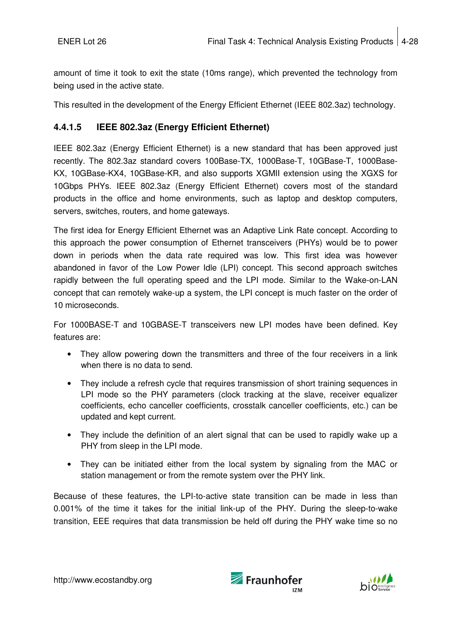amount of time it took to exit the state (10ms range), which prevented the technology from being used in the active state.

This resulted in the development of the Energy Efficient Ethernet (IEEE 802.3az) technology.

#### **4.4.1.5 IEEE 802.3az (Energy Efficient Ethernet)**

IEEE 802.3az (Energy Efficient Ethernet) is a new standard that has been approved just recently. The 802.3az standard covers 100Base-TX, 1000Base-T, 10GBase-T, 1000Base-KX, 10GBase-KX4, 10GBase-KR, and also supports XGMII extension using the XGXS for 10Gbps PHYs. IEEE 802.3az (Energy Efficient Ethernet) covers most of the standard products in the office and home environments, such as laptop and desktop computers, servers, switches, routers, and home gateways.

The first idea for Energy Efficient Ethernet was an Adaptive Link Rate concept. According to this approach the power consumption of Ethernet transceivers (PHYs) would be to power down in periods when the data rate required was low. This first idea was however abandoned in favor of the Low Power Idle (LPI) concept. This second approach switches rapidly between the full operating speed and the LPI mode. Similar to the Wake-on-LAN concept that can remotely wake-up a system, the LPI concept is much faster on the order of 10 microseconds.

For 1000BASE-T and 10GBASE-T transceivers new LPI modes have been defined. Key features are:

- They allow powering down the transmitters and three of the four receivers in a link when there is no data to send.
- They include a refresh cycle that requires transmission of short training sequences in LPI mode so the PHY parameters (clock tracking at the slave, receiver equalizer coefficients, echo canceller coefficients, crosstalk canceller coefficients, etc.) can be updated and kept current.
- They include the definition of an alert signal that can be used to rapidly wake up a PHY from sleep in the LPI mode.
- They can be initiated either from the local system by signaling from the MAC or station management or from the remote system over the PHY link.

Because of these features, the LPI-to-active state transition can be made in less than 0.001% of the time it takes for the initial link-up of the PHY. During the sleep-to-wake transition, EEE requires that data transmission be held off during the PHY wake time so no



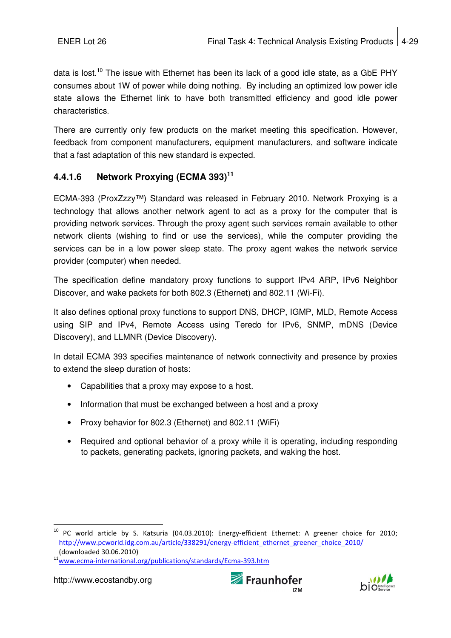data is lost.<sup>10</sup> The issue with Ethernet has been its lack of a good idle state, as a GbE PHY consumes about 1W of power while doing nothing. By including an optimized low power idle state allows the Ethernet link to have both transmitted efficiency and good idle power characteristics.

There are currently only few products on the market meeting this specification. However, feedback from component manufacturers, equipment manufacturers, and software indicate that a fast adaptation of this new standard is expected.

## **4.4.1.6 Network Proxying (ECMA 393)<sup>11</sup>**

ECMA-393 (ProxZzzy™) Standard was released in February 2010. Network Proxying is a technology that allows another network agent to act as a proxy for the computer that is providing network services. Through the proxy agent such services remain available to other network clients (wishing to find or use the services), while the computer providing the services can be in a low power sleep state. The proxy agent wakes the network service provider (computer) when needed.

The specification define mandatory proxy functions to support IPv4 ARP, IPv6 Neighbor Discover, and wake packets for both 802.3 (Ethernet) and 802.11 (Wi-Fi).

It also defines optional proxy functions to support DNS, DHCP, IGMP, MLD, Remote Access using SIP and IPv4, Remote Access using Teredo for IPv6, SNMP, mDNS (Device Discovery), and LLMNR (Device Discovery).

In detail ECMA 393 specifies maintenance of network connectivity and presence by proxies to extend the sleep duration of hosts:

- Capabilities that a proxy may expose to a host.
- Information that must be exchanged between a host and a proxy
- Proxy behavior for 802.3 (Ethernet) and 802.11 (WiFi)
- Required and optional behavior of a proxy while it is operating, including responding to packets, generating packets, ignoring packets, and waking the host.

 $\overline{a}$ 





 $^{10}$  PC world article by S. Katsuria (04.03.2010): Energy-efficient Ethernet: A greener choice for 2010; http://www.pcworld.idg.com.au/article/338291/energy-efficient\_ethernet\_greener\_choice\_2010/ (downloaded 30.06.2010)

<sup>&</sup>lt;sup>11</sup>www.ecma-international.org/publications/standards/Ecma-393.htm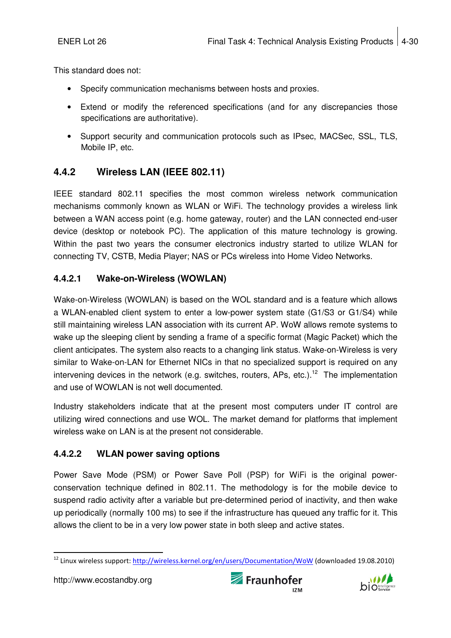This standard does not:

- Specify communication mechanisms between hosts and proxies.
- Extend or modify the referenced specifications (and for any discrepancies those specifications are authoritative).
- Support security and communication protocols such as IPsec, MACSec, SSL, TLS, Mobile IP, etc.

## **4.4.2 Wireless LAN (IEEE 802.11)**

IEEE standard 802.11 specifies the most common wireless network communication mechanisms commonly known as WLAN or WiFi. The technology provides a wireless link between a WAN access point (e.g. home gateway, router) and the LAN connected end-user device (desktop or notebook PC). The application of this mature technology is growing. Within the past two years the consumer electronics industry started to utilize WLAN for connecting TV, CSTB, Media Player; NAS or PCs wireless into Home Video Networks.

## **4.4.2.1 Wake-on-Wireless (WOWLAN)**

Wake-on-Wireless (WOWLAN) is based on the WOL standard and is a feature which allows a WLAN-enabled client system to enter a low-power system state (G1/S3 or G1/S4) while still maintaining wireless LAN association with its current AP. WoW allows remote systems to wake up the sleeping client by sending a frame of a specific format (Magic Packet) which the client anticipates. The system also reacts to a changing link status. Wake-on-Wireless is very similar to Wake-on-LAN for Ethernet NICs in that no specialized support is required on any intervening devices in the network (e.g. switches, routers, APs, etc.).<sup>12</sup> The implementation and use of WOWLAN is not well documented.

Industry stakeholders indicate that at the present most computers under IT control are utilizing wired connections and use WOL. The market demand for platforms that implement wireless wake on LAN is at the present not considerable.

## **4.4.2.2 WLAN power saving options**

Power Save Mode (PSM) or Power Save Poll (PSP) for WiFi is the original powerconservation technique defined in 802.11. The methodology is for the mobile device to suspend radio activity after a variable but pre-determined period of inactivity, and then wake up periodically (normally 100 ms) to see if the infrastructure has queued any traffic for it. This allows the client to be in a very low power state in both sleep and active states.





j <sup>12</sup> Linux wireless support: http://wireless.kernel.org/en/users/Documentation/WoW (downloaded 19.08.2010)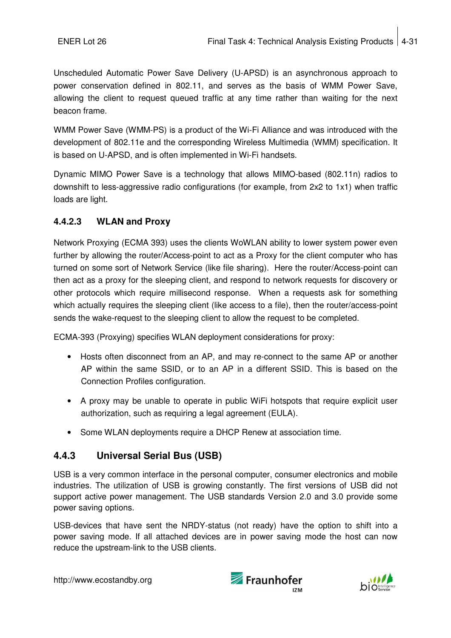Unscheduled Automatic Power Save Delivery (U-APSD) is an asynchronous approach to power conservation defined in 802.11, and serves as the basis of WMM Power Save, allowing the client to request queued traffic at any time rather than waiting for the next beacon frame.

WMM Power Save (WMM-PS) is a product of the Wi-Fi Alliance and was introduced with the development of 802.11e and the corresponding Wireless Multimedia (WMM) specification. It is based on U-APSD, and is often implemented in Wi-Fi handsets.

Dynamic MIMO Power Save is a technology that allows MIMO-based (802.11n) radios to downshift to less-aggressive radio configurations (for example, from 2x2 to 1x1) when traffic loads are light.

#### **4.4.2.3 WLAN and Proxy**

Network Proxying (ECMA 393) uses the clients WoWLAN ability to lower system power even further by allowing the router/Access-point to act as a Proxy for the client computer who has turned on some sort of Network Service (like file sharing). Here the router/Access-point can then act as a proxy for the sleeping client, and respond to network requests for discovery or other protocols which require millisecond response. When a requests ask for something which actually requires the sleeping client (like access to a file), then the router/access-point sends the wake-request to the sleeping client to allow the request to be completed.

ECMA-393 (Proxying) specifies WLAN deployment considerations for proxy:

- Hosts often disconnect from an AP, and may re-connect to the same AP or another AP within the same SSID, or to an AP in a different SSID. This is based on the Connection Profiles configuration.
- A proxy may be unable to operate in public WiFi hotspots that require explicit user authorization, such as requiring a legal agreement (EULA).
- Some WLAN deployments require a DHCP Renew at association time.

## **4.4.3 Universal Serial Bus (USB)**

USB is a very common interface in the personal computer, consumer electronics and mobile industries. The utilization of USB is growing constantly. The first versions of USB did not support active power management. The USB standards Version 2.0 and 3.0 provide some power saving options.

USB-devices that have sent the NRDY-status (not ready) have the option to shift into a power saving mode. If all attached devices are in power saving mode the host can now reduce the upstream-link to the USB clients.



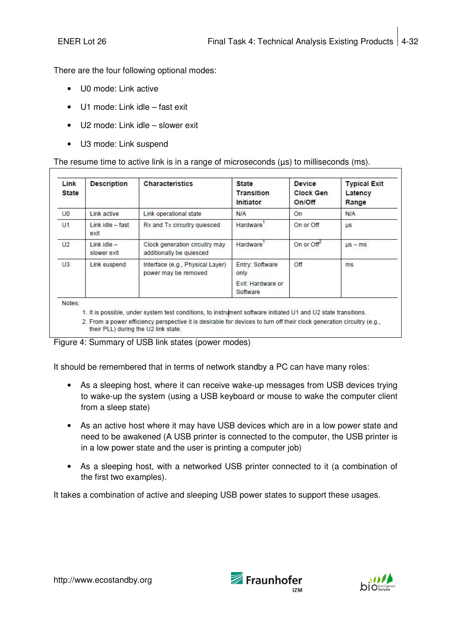There are the four following optional modes:

- U0 mode: Link active
- U1 mode: Link idle fast exit
- U2 mode: Link idle slower exit
- U3 mode: Link suspend

#### The resume time to active link is in a range of microseconds (µs) to milliseconds (ms).

| Link<br><b>State</b> | <b>Description</b>             | <b>Characteristics</b>                                     | <b>State</b><br><b>Transition</b><br>Initiator | <b>Device</b><br><b>Clock Gen</b><br>On/Off | <b>Typical Exit</b><br>Latency<br>Range |
|----------------------|--------------------------------|------------------------------------------------------------|------------------------------------------------|---------------------------------------------|-----------------------------------------|
| U <sub>0</sub>       | Link active                    | Link operational state                                     | N/A                                            | On                                          | N/A                                     |
| U <sub>1</sub>       | $Link$ idle $-$ fast<br>exit   | Rx and Tx circuitry quiesced                               | Hardware'                                      | On or Off                                   | <b>US</b>                               |
| U <sub>2</sub>       | $link$ idle $-$<br>slower exit | Clock generation circuitry may<br>additionally be quiesced | Hardware'                                      | On or Off <sup>-</sup>                      | $\mu s - ms$                            |
| U3                   | Link suspend                   | Interface (e.g., Physical Layer)<br>power may be removed   | Entry: Software<br>only                        | Off                                         | ms                                      |
|                      |                                |                                                            | Exit: Hardware or<br>Software                  |                                             |                                         |

1. It is possible, under system test conditions, to instrument software initiated U1 and U2 state transitions.

2. From a power efficiency perspective it is desirable for devices to turn off their clock generation circuitry (e.g., their PLL) during the U2 link state.

Figure 4: Summary of USB link states (power modes)

It should be remembered that in terms of network standby a PC can have many roles:

- As a sleeping host, where it can receive wake-up messages from USB devices trying to wake-up the system (using a USB keyboard or mouse to wake the computer client from a sleep state)
- As an active host where it may have USB devices which are in a low power state and need to be awakened (A USB printer is connected to the computer, the USB printer is in a low power state and the user is printing a computer job)
- As a sleeping host, with a networked USB printer connected to it (a combination of the first two examples).

It takes a combination of active and sleeping USB power states to support these usages.





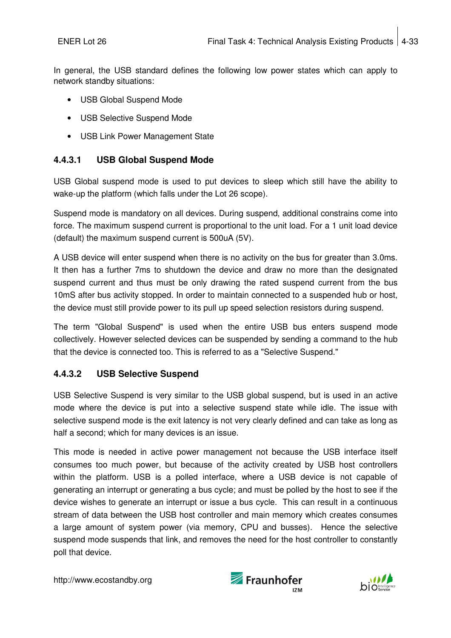In general, the USB standard defines the following low power states which can apply to network standby situations:

- USB Global Suspend Mode
- USB Selective Suspend Mode
- USB Link Power Management State

#### **4.4.3.1 USB Global Suspend Mode**

USB Global suspend mode is used to put devices to sleep which still have the ability to wake-up the platform (which falls under the Lot 26 scope).

Suspend mode is mandatory on all devices. During suspend, additional constrains come into force. The maximum suspend current is proportional to the unit load. For a 1 unit load device (default) the maximum suspend current is 500uA (5V).

A USB device will enter suspend when there is no activity on the bus for greater than 3.0ms. It then has a further 7ms to shutdown the device and draw no more than the designated suspend current and thus must be only drawing the rated suspend current from the bus 10mS after bus activity stopped. In order to maintain connected to a suspended hub or host, the device must still provide power to its pull up speed selection resistors during suspend.

The term "Global Suspend" is used when the entire USB bus enters suspend mode collectively. However selected devices can be suspended by sending a command to the hub that the device is connected too. This is referred to as a "Selective Suspend."

#### **4.4.3.2 USB Selective Suspend**

USB Selective Suspend is very similar to the USB global suspend, but is used in an active mode where the device is put into a selective suspend state while idle. The issue with selective suspend mode is the exit latency is not very clearly defined and can take as long as half a second; which for many devices is an issue.

This mode is needed in active power management not because the USB interface itself consumes too much power, but because of the activity created by USB host controllers within the platform. USB is a polled interface, where a USB device is not capable of generating an interrupt or generating a bus cycle; and must be polled by the host to see if the device wishes to generate an interrupt or issue a bus cycle. This can result in a continuous stream of data between the USB host controller and main memory which creates consumes a large amount of system power (via memory, CPU and busses). Hence the selective suspend mode suspends that link, and removes the need for the host controller to constantly poll that device.



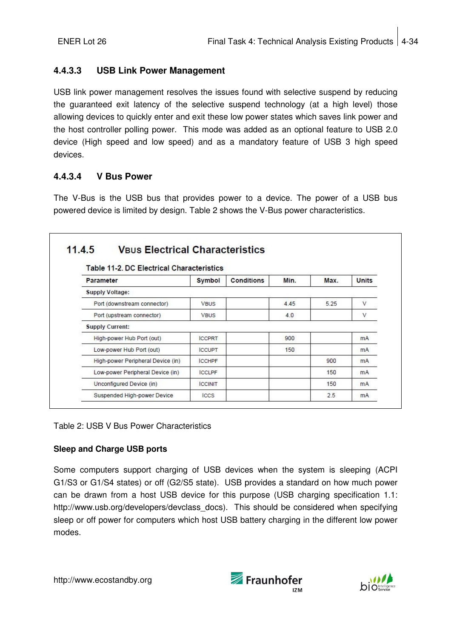#### **4.4.3.3 USB Link Power Management**

USB link power management resolves the issues found with selective suspend by reducing the guaranteed exit latency of the selective suspend technology (at a high level) those allowing devices to quickly enter and exit these low power states which saves link power and the host controller polling power. This mode was added as an optional feature to USB 2.0 device (High speed and low speed) and as a mandatory feature of USB 3 high speed devices.

#### **4.4.3.4 V Bus Power**

The V-Bus is the USB bus that provides power to a device. The power of a USB bus powered device is limited by design. Table 2 shows the V-Bus power characteristics.

|                                   |                |                   | <b>Table 11-2, DC Electrical Characteristics</b> |      |                |  |  |  |  |  |
|-----------------------------------|----------------|-------------------|--------------------------------------------------|------|----------------|--|--|--|--|--|
| <b>Parameter</b>                  | Symbol         | <b>Conditions</b> | Min.                                             | Max. | <b>Units</b>   |  |  |  |  |  |
| <b>Supply Voltage:</b>            |                |                   |                                                  |      |                |  |  |  |  |  |
| Port (downstream connector)       | <b>VBUS</b>    |                   | 445                                              | 5.25 | V              |  |  |  |  |  |
| Port (upstream connector)         | <b>VBUS</b>    |                   | 4.0                                              |      | V              |  |  |  |  |  |
| <b>Supply Current:</b>            |                |                   |                                                  |      |                |  |  |  |  |  |
| High-power Hub Port (out)         | <b>ICCPRT</b>  |                   | 900                                              |      | <b>mA</b>      |  |  |  |  |  |
| Low-power Hub Port (out)          | <b>ICCUPT</b>  |                   | 150                                              |      | mA             |  |  |  |  |  |
| High-power Peripheral Device (in) | <b>ICCHPF</b>  |                   |                                                  | 900  | <b>mA</b>      |  |  |  |  |  |
| Low-power Peripheral Device (in)  | <b>ICCLPF</b>  |                   |                                                  | 150  | mA             |  |  |  |  |  |
| Unconfigured Device (in)          | <b>ICCINIT</b> |                   |                                                  | 150  | m <sub>A</sub> |  |  |  |  |  |
| Suspended High-power Device       | ICCS           |                   |                                                  | 2.5  | <b>mA</b>      |  |  |  |  |  |

#### Table 2: USB V Bus Power Characteristics

#### **Sleep and Charge USB ports**

Some computers support charging of USB devices when the system is sleeping (ACPI G1/S3 or G1/S4 states) or off (G2/S5 state). USB provides a standard on how much power can be drawn from a host USB device for this purpose (USB charging specification 1.1: http://www.usb.org/developers/devclass\_docs). This should be considered when specifying sleep or off power for computers which host USB battery charging in the different low power modes.



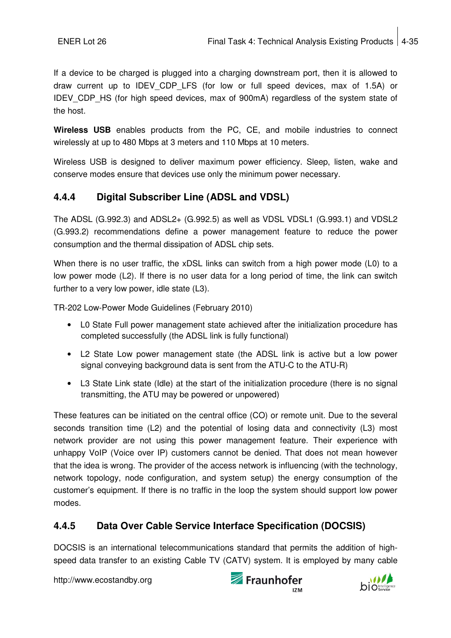If a device to be charged is plugged into a charging downstream port, then it is allowed to draw current up to IDEV CDP LFS (for low or full speed devices, max of 1.5A) or IDEV CDP HS (for high speed devices, max of 900mA) regardless of the system state of the host.

**Wireless USB** enables products from the PC, CE, and mobile industries to connect wirelessly at up to 480 Mbps at 3 meters and 110 Mbps at 10 meters.

Wireless USB is designed to deliver maximum power efficiency. Sleep, listen, wake and conserve modes ensure that devices use only the minimum power necessary.

## **4.4.4 Digital Subscriber Line (ADSL and VDSL)**

The ADSL (G.992.3) and ADSL2+ (G.992.5) as well as VDSL VDSL1 (G.993.1) and VDSL2 (G.993.2) recommendations define a power management feature to reduce the power consumption and the thermal dissipation of ADSL chip sets.

When there is no user traffic, the xDSL links can switch from a high power mode (L0) to a low power mode (L2). If there is no user data for a long period of time, the link can switch further to a very low power, idle state (L3).

TR-202 Low-Power Mode Guidelines (February 2010)

- LO State Full power management state achieved after the initialization procedure has completed successfully (the ADSL link is fully functional)
- L2 State Low power management state (the ADSL link is active but a low power signal conveying background data is sent from the ATU-C to the ATU-R)
- L3 State Link state (Idle) at the start of the initialization procedure (there is no signal transmitting, the ATU may be powered or unpowered)

These features can be initiated on the central office (CO) or remote unit. Due to the several seconds transition time (L2) and the potential of losing data and connectivity (L3) most network provider are not using this power management feature. Their experience with unhappy VoIP (Voice over IP) customers cannot be denied. That does not mean however that the idea is wrong. The provider of the access network is influencing (with the technology, network topology, node configuration, and system setup) the energy consumption of the customer's equipment. If there is no traffic in the loop the system should support low power modes.

## **4.4.5 Data Over Cable Service Interface Specification (DOCSIS)**

DOCSIS is an international telecommunications standard that permits the addition of highspeed data transfer to an existing Cable TV (CATV) system. It is employed by many cable



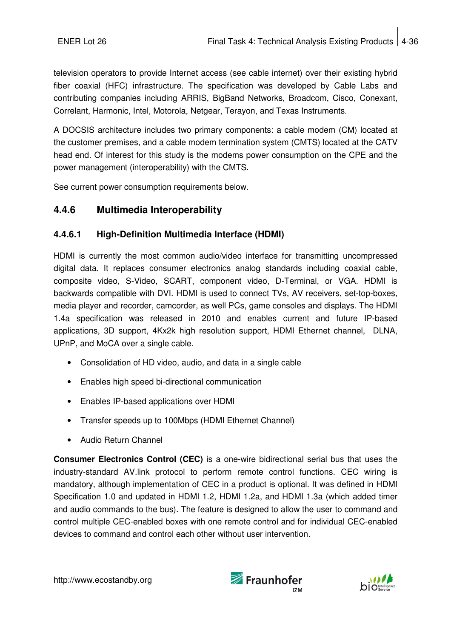television operators to provide Internet access (see cable internet) over their existing hybrid fiber coaxial (HFC) infrastructure. The specification was developed by Cable Labs and contributing companies including ARRIS, BigBand Networks, Broadcom, Cisco, Conexant, Correlant, Harmonic, Intel, Motorola, Netgear, Terayon, and Texas Instruments.

A DOCSIS architecture includes two primary components: a cable modem (CM) located at the customer premises, and a cable modem termination system (CMTS) located at the CATV head end. Of interest for this study is the modems power consumption on the CPE and the power management (interoperability) with the CMTS.

See current power consumption requirements below.

## **4.4.6 Multimedia Interoperability**

#### **4.4.6.1 High-Definition Multimedia Interface (HDMI)**

HDMI is currently the most common audio/video interface for transmitting uncompressed digital data. It replaces consumer electronics analog standards including coaxial cable, composite video, S-Video, SCART, component video, D-Terminal, or VGA. HDMI is backwards compatible with DVI. HDMI is used to connect TVs, AV receivers, set-top-boxes, media player and recorder, camcorder, as well PCs, game consoles and displays. The HDMI 1.4a specification was released in 2010 and enables current and future IP-based applications, 3D support, 4Kx2k high resolution support, HDMI Ethernet channel, DLNA, UPnP, and MoCA over a single cable.

- Consolidation of HD video, audio, and data in a single cable
- Enables high speed bi-directional communication
- Enables IP-based applications over HDMI
- Transfer speeds up to 100Mbps (HDMI Ethernet Channel)
- Audio Return Channel

**Consumer Electronics Control (CEC)** is a one-wire bidirectional serial bus that uses the industry-standard AV.link protocol to perform remote control functions. CEC wiring is mandatory, although implementation of CEC in a product is optional. It was defined in HDMI Specification 1.0 and updated in HDMI 1.2, HDMI 1.2a, and HDMI 1.3a (which added timer and audio commands to the bus). The feature is designed to allow the user to command and control multiple CEC-enabled boxes with one remote control and for individual CEC-enabled devices to command and control each other without user intervention.



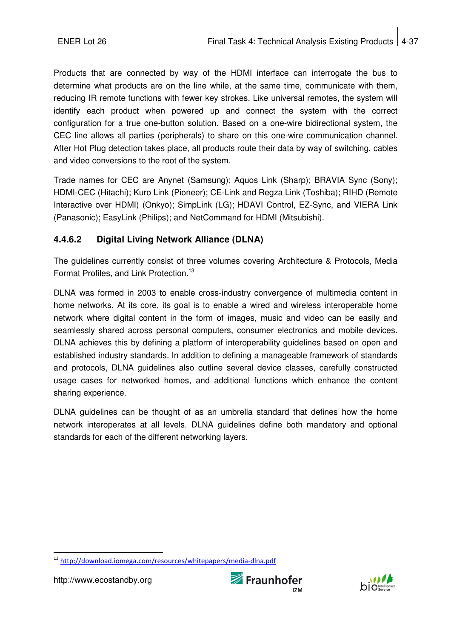Products that are connected by way of the HDMI interface can interrogate the bus to determine what products are on the line while, at the same time, communicate with them, reducing IR remote functions with fewer key strokes. Like universal remotes, the system will identify each product when powered up and connect the system with the correct configuration for a true one-button solution. Based on a one-wire bidirectional system, the CEC line allows all parties (peripherals) to share on this one-wire communication channel. After Hot Plug detection takes place, all products route their data by way of switching, cables and video conversions to the root of the system.

Trade names for CEC are Anynet (Samsung); Aquos Link (Sharp); BRAVIA Sync (Sony); HDMI-CEC (Hitachi); Kuro Link (Pioneer); CE-Link and Regza Link (Toshiba); RIHD (Remote Interactive over HDMI) (Onkyo); SimpLink (LG); HDAVI Control, EZ-Sync, and VIERA Link (Panasonic); EasyLink (Philips); and NetCommand for HDMI (Mitsubishi).

## **4.4.6.2 Digital Living Network Alliance (DLNA)**

The guidelines currently consist of three volumes covering Architecture & Protocols, Media Format Profiles, and Link Protection.<sup>13</sup>

DLNA was formed in 2003 to enable cross-industry convergence of multimedia content in home networks. At its core, its goal is to enable a wired and wireless interoperable home network where digital content in the form of images, music and video can be easily and seamlessly shared across personal computers, consumer electronics and mobile devices. DLNA achieves this by defining a platform of interoperability guidelines based on open and established industry standards. In addition to defining a manageable framework of standards and protocols, DLNA guidelines also outline several device classes, carefully constructed usage cases for networked homes, and additional functions which enhance the content sharing experience.

DLNA guidelines can be thought of as an umbrella standard that defines how the home network interoperates at all levels. DLNA guidelines define both mandatory and optional standards for each of the different networking layers.





j <sup>13</sup> http://download.iomega.com/resources/whitepapers/media-dlna.pdf